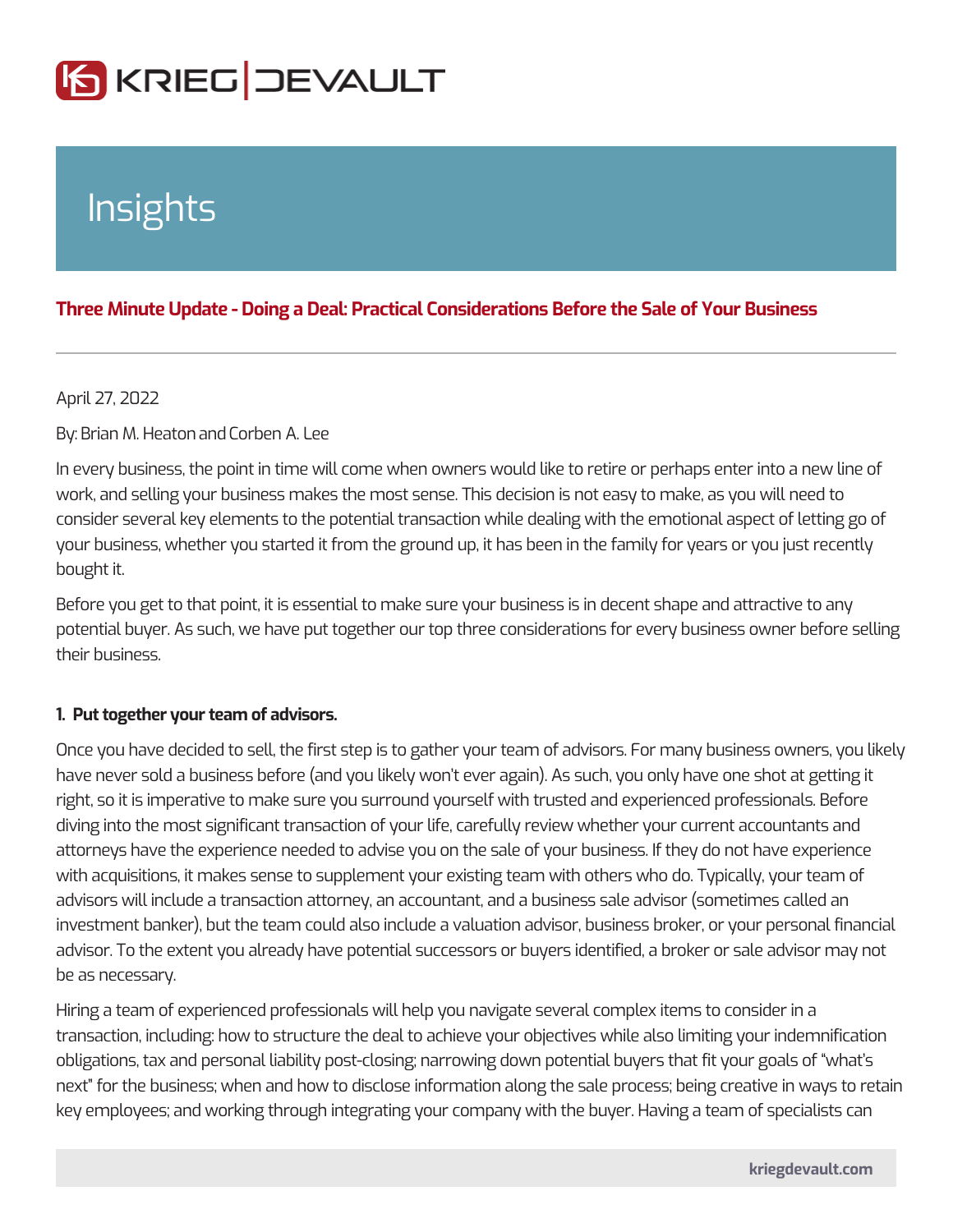# Insights

## Three Minute Update - Doing a Deal: Practical Considerations Before the

#### April 27, 2022

#### ByBrian M. Heartoforben A. Lee

In every business, the point in time will come when owners would like to retire or work, and selling your business makes the most sense. This decision is not easy consider several key elements to the potential transaction while dealing with the your business, whether you started it from the ground up, it has been in the fami bought it.

Before you get to that point, it is essential to make sure your business is in dece potential buyer. As such, we have put together our top three considerations for e their business.

#### 1. Put together your team of advisors.

Once you have decided to sell, the first step is to gather your team of advisors. have never sold a business before (and you likely won t ever again). As such, yo right, so it is imperative to make sure you surround yourself with trusted and exp diving into the most significant transaction of your life, carefully review whether attorneys have the experience needed to advise you on the sale of your business with acquisitions, it makes sense to supplement your existing team with others w advisors will include a transaction attorney, an accountant, and a business sale investment banker), but the team could also include a valuation advisor, busines advisor. To the extent you already have potential successors or buyers identified be as necessary.

Hiring a team of experienced professionals will help you navigate several comple transaction, including: how to structure the deal to achieve your objectives while obligations, tax and personal liability post-closing; narrowing down potential buy next for the business; when and how to disclose information along the sale proc key employees; and working through integrating your company with the buyer. Ha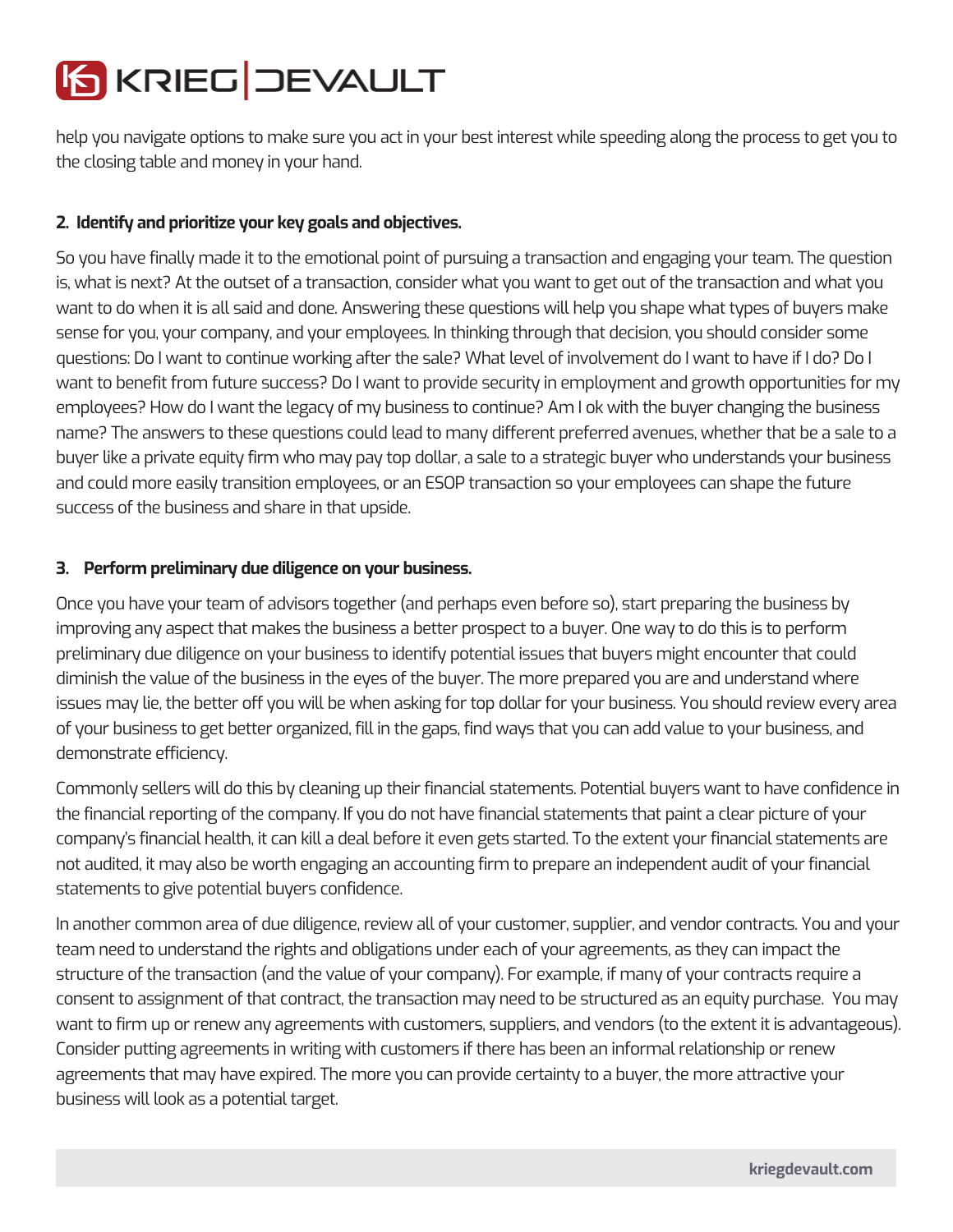

help you navigate options to make sure you act in your best interest while speeding along the process to get you to the closing table and money in your hand.

## **2. Identify and prioritize your key goals and objectives.**

So you have finally made it to the emotional point of pursuing a transaction and engaging your team. The question is, what is next? At the outset of a transaction, consider what you want to get out of the transaction and what you want to do when it is all said and done. Answering these questions will help you shape what types of buyers make sense for you, your company, and your employees. In thinking through that decision, you should consider some questions: Do I want to continue working after the sale? What level of involvement do I want to have if I do? Do I want to benefit from future success? Do I want to provide security in employment and growth opportunities for my employees? How do I want the legacy of my business to continue? Am I ok with the buyer changing the business name? The answers to these questions could lead to many different preferred avenues, whether that be a sale to a buyer like a private equity firm who may pay top dollar, a sale to a strategic buyer who understands your business and could more easily transition employees, or an ESOP transaction so your employees can shape the future success of the business and share in that upside.

### **3. Perform preliminary due diligence on your business.**

Once you have your team of advisors together (and perhaps even before so), start preparing the business by improving any aspect that makes the business a better prospect to a buyer. One way to do this is to perform preliminary due diligence on your business to identify potential issues that buyers might encounter that could diminish the value of the business in the eyes of the buyer. The more prepared you are and understand where issues may lie, the better off you will be when asking for top dollar for your business. You should review every area of your business to get better organized, fill in the gaps, find ways that you can add value to your business, and demonstrate efficiency.

Commonly sellers will do this by cleaning up their financial statements. Potential buyers want to have confidence in the financial reporting of the company. If you do not have financial statements that paint a clear picture of your company's financial health, it can kill a deal before it even gets started. To the extent your financial statements are not audited, it may also be worth engaging an accounting firm to prepare an independent audit of your financial statements to give potential buyers confidence.

In another common area of due diligence, review all of your customer, supplier, and vendor contracts. You and your team need to understand the rights and obligations under each of your agreements, as they can impact the structure of the transaction (and the value of your company). For example, if many of your contracts require a consent to assignment of that contract, the transaction may need to be structured as an equity purchase. You may want to firm up or renew any agreements with customers, suppliers, and vendors (to the extent it is advantageous). Consider putting agreements in writing with customers if there has been an informal relationship or renew agreements that may have expired. The more you can provide certainty to a buyer, the more attractive your business will look as a potential target.